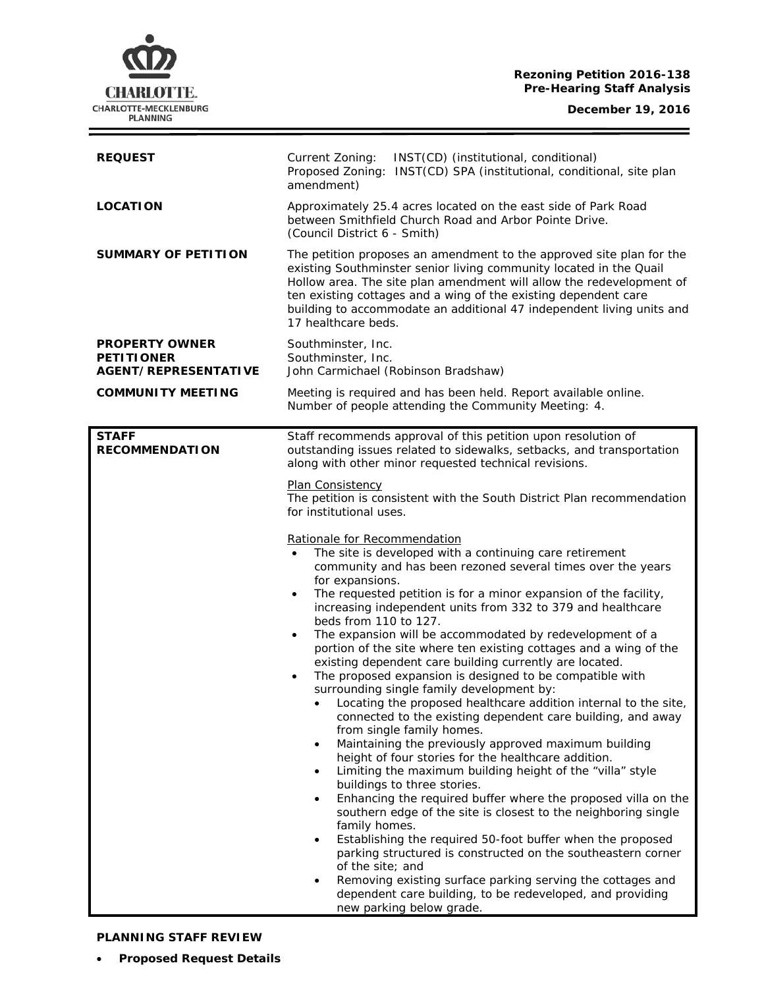#### **Rezoning Petition 2016-138 Pre-Hearing Staff Analysis**

**December 19, 2016**

Ξ



| <b>REQUEST</b>                                                            | Current Zoning:<br>INST(CD) (institutional, conditional)<br>Proposed Zoning: INST(CD) SPA (institutional, conditional, site plan<br>amendment)                                                                                                                                                                                                                                                                                                                                                                                                                                                                                                                                                                                                                                                                                                                                                                                                                                                                                                                                                                                                                                                                                                                                                                                                                                                                                                                                                                                                                                                                                                                                                                                                                                                                                                                                                                                                  |  |  |  |
|---------------------------------------------------------------------------|-------------------------------------------------------------------------------------------------------------------------------------------------------------------------------------------------------------------------------------------------------------------------------------------------------------------------------------------------------------------------------------------------------------------------------------------------------------------------------------------------------------------------------------------------------------------------------------------------------------------------------------------------------------------------------------------------------------------------------------------------------------------------------------------------------------------------------------------------------------------------------------------------------------------------------------------------------------------------------------------------------------------------------------------------------------------------------------------------------------------------------------------------------------------------------------------------------------------------------------------------------------------------------------------------------------------------------------------------------------------------------------------------------------------------------------------------------------------------------------------------------------------------------------------------------------------------------------------------------------------------------------------------------------------------------------------------------------------------------------------------------------------------------------------------------------------------------------------------------------------------------------------------------------------------------------------------|--|--|--|
| <b>LOCATION</b>                                                           | Approximately 25.4 acres located on the east side of Park Road<br>between Smithfield Church Road and Arbor Pointe Drive.<br>(Council District 6 - Smith)                                                                                                                                                                                                                                                                                                                                                                                                                                                                                                                                                                                                                                                                                                                                                                                                                                                                                                                                                                                                                                                                                                                                                                                                                                                                                                                                                                                                                                                                                                                                                                                                                                                                                                                                                                                        |  |  |  |
| <b>SUMMARY OF PETITION</b>                                                | The petition proposes an amendment to the approved site plan for the<br>existing Southminster senior living community located in the Quail<br>Hollow area. The site plan amendment will allow the redevelopment of<br>ten existing cottages and a wing of the existing dependent care<br>building to accommodate an additional 47 independent living units and<br>17 healthcare beds.                                                                                                                                                                                                                                                                                                                                                                                                                                                                                                                                                                                                                                                                                                                                                                                                                                                                                                                                                                                                                                                                                                                                                                                                                                                                                                                                                                                                                                                                                                                                                           |  |  |  |
| <b>PROPERTY OWNER</b><br><b>PETITIONER</b><br><b>AGENT/REPRESENTATIVE</b> | Southminster, Inc.<br>Southminster, Inc.<br>John Carmichael (Robinson Bradshaw)                                                                                                                                                                                                                                                                                                                                                                                                                                                                                                                                                                                                                                                                                                                                                                                                                                                                                                                                                                                                                                                                                                                                                                                                                                                                                                                                                                                                                                                                                                                                                                                                                                                                                                                                                                                                                                                                 |  |  |  |
| <b>COMMUNITY MEETING</b>                                                  | Meeting is required and has been held. Report available online.<br>Number of people attending the Community Meeting: 4.                                                                                                                                                                                                                                                                                                                                                                                                                                                                                                                                                                                                                                                                                                                                                                                                                                                                                                                                                                                                                                                                                                                                                                                                                                                                                                                                                                                                                                                                                                                                                                                                                                                                                                                                                                                                                         |  |  |  |
| <b>RECOMMENDATION</b>                                                     | Staff recommends approval of this petition upon resolution of<br>outstanding issues related to sidewalks, setbacks, and transportation<br>along with other minor requested technical revisions.<br>Plan Consistency<br>The petition is consistent with the South District Plan recommendation<br>for institutional uses.<br>Rationale for Recommendation<br>The site is developed with a continuing care retirement<br>$\bullet$<br>community and has been rezoned several times over the years<br>for expansions.<br>The requested petition is for a minor expansion of the facility,<br>$\bullet$<br>increasing independent units from 332 to 379 and healthcare<br>beds from 110 to 127.<br>The expansion will be accommodated by redevelopment of a<br>$\bullet$<br>portion of the site where ten existing cottages and a wing of the<br>existing dependent care building currently are located.<br>The proposed expansion is designed to be compatible with<br>$\bullet$<br>surrounding single family development by:<br>Locating the proposed healthcare addition internal to the site,<br>$\bullet$<br>connected to the existing dependent care building, and away<br>from single family homes.<br>Maintaining the previously approved maximum building<br>$\bullet$<br>height of four stories for the healthcare addition.<br>Limiting the maximum building height of the "villa" style<br>$\bullet$<br>buildings to three stories.<br>Enhancing the required buffer where the proposed villa on the<br>$\bullet$<br>southern edge of the site is closest to the neighboring single<br>family homes.<br>Establishing the required 50-foot buffer when the proposed<br>$\bullet$<br>parking structured is constructed on the southeastern corner<br>of the site; and<br>Removing existing surface parking serving the cottages and<br>$\bullet$<br>dependent care building, to be redeveloped, and providing<br>new parking below grade. |  |  |  |

# **PLANNING STAFF REVIEW**

• **Proposed Request Details**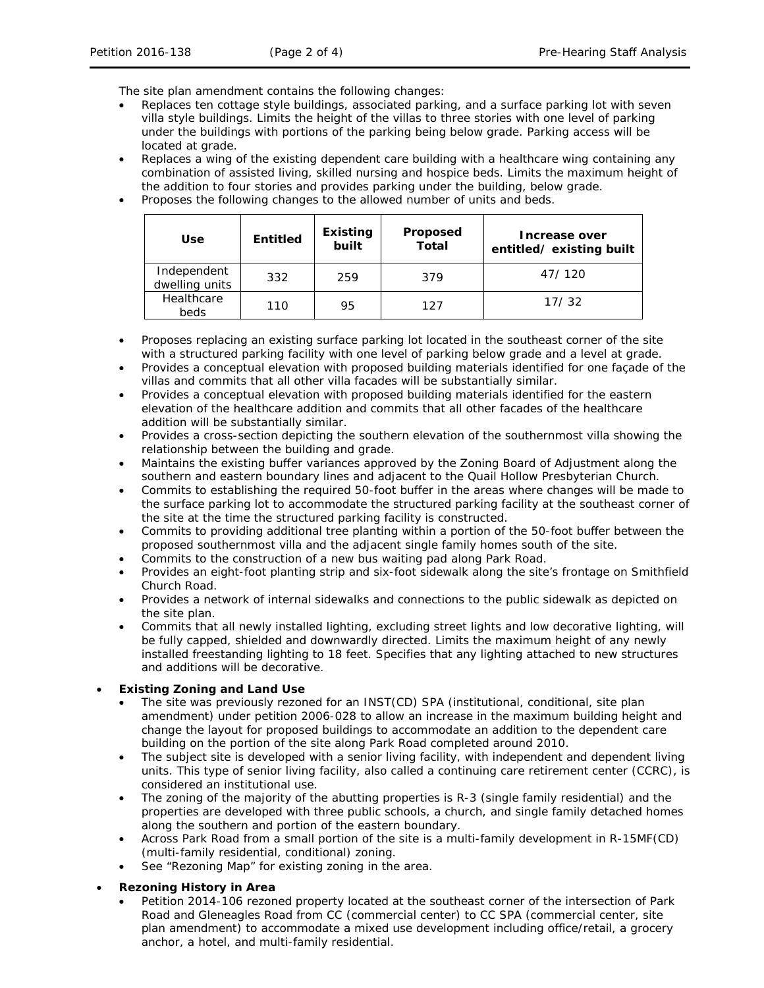The site plan amendment contains the following changes:

- Replaces ten cottage style buildings, associated parking, and a surface parking lot with seven villa style buildings. Limits the height of the villas to three stories with one level of parking under the buildings with portions of the parking being below grade. Parking access will be located at grade.
- Replaces a wing of the existing dependent care building with a healthcare wing containing any combination of assisted living, skilled nursing and hospice beds. Limits the maximum height of the addition to four stories and provides parking under the building, below grade.
- Proposes the following changes to the allowed number of units and beds.

| <b>Use</b>                    | <b>Entitled</b> | <b>Existing</b><br>built | Proposed<br>Total | Increase over<br>entitled/existing built |
|-------------------------------|-----------------|--------------------------|-------------------|------------------------------------------|
| Independent<br>dwelling units | 332             | 259                      | 379               | 47/120                                   |
| Healthcare<br>beds            | 110             | 95                       | 127               | 17/32                                    |

- Proposes replacing an existing surface parking lot located in the southeast corner of the site with a structured parking facility with one level of parking below grade and a level at grade.
- Provides a conceptual elevation with proposed building materials identified for one façade of the villas and commits that all other villa facades will be substantially similar.
- Provides a conceptual elevation with proposed building materials identified for the eastern elevation of the healthcare addition and commits that all other facades of the healthcare addition will be substantially similar.
- Provides a cross-section depicting the southern elevation of the southernmost villa showing the relationship between the building and grade.
- Maintains the existing buffer variances approved by the Zoning Board of Adjustment along the southern and eastern boundary lines and adjacent to the Quail Hollow Presbyterian Church.
- Commits to establishing the required 50-foot buffer in the areas where changes will be made to the surface parking lot to accommodate the structured parking facility at the southeast corner of the site at the time the structured parking facility is constructed.
- Commits to providing additional tree planting within a portion of the 50-foot buffer between the proposed southernmost villa and the adjacent single family homes south of the site.
- Commits to the construction of a new bus waiting pad along Park Road.
- Provides an eight-foot planting strip and six-foot sidewalk along the site's frontage on Smithfield Church Road.
- Provides a network of internal sidewalks and connections to the public sidewalk as depicted on the site plan.
- Commits that all newly installed lighting, excluding street lights and low decorative lighting, will be fully capped, shielded and downwardly directed. Limits the maximum height of any newly installed freestanding lighting to 18 feet. Specifies that any lighting attached to new structures and additions will be decorative.

## • **Existing Zoning and Land Use**

- The site was previously rezoned for an INST(CD) SPA (institutional, conditional, site plan amendment) under petition 2006-028 to allow an increase in the maximum building height and change the layout for proposed buildings to accommodate an addition to the dependent care building on the portion of the site along Park Road completed around 2010.
- The subject site is developed with a senior living facility, with independent and dependent living units. This type of senior living facility, also called a continuing care retirement center (CCRC), is considered an institutional use.
- The zoning of the majority of the abutting properties is R-3 (single family residential) and the properties are developed with three public schools, a church, and single family detached homes along the southern and portion of the eastern boundary.
- Across Park Road from a small portion of the site is a multi-family development in R-15MF(CD) (multi-family residential, conditional) zoning.
- See "Rezoning Map" for existing zoning in the area.

### • **Rezoning History in Area**

• Petition 2014-106 rezoned property located at the southeast corner of the intersection of Park Road and Gleneagles Road from CC (commercial center) to CC SPA (commercial center, site plan amendment) to accommodate a mixed use development including office/retail, a grocery anchor, a hotel, and multi-family residential.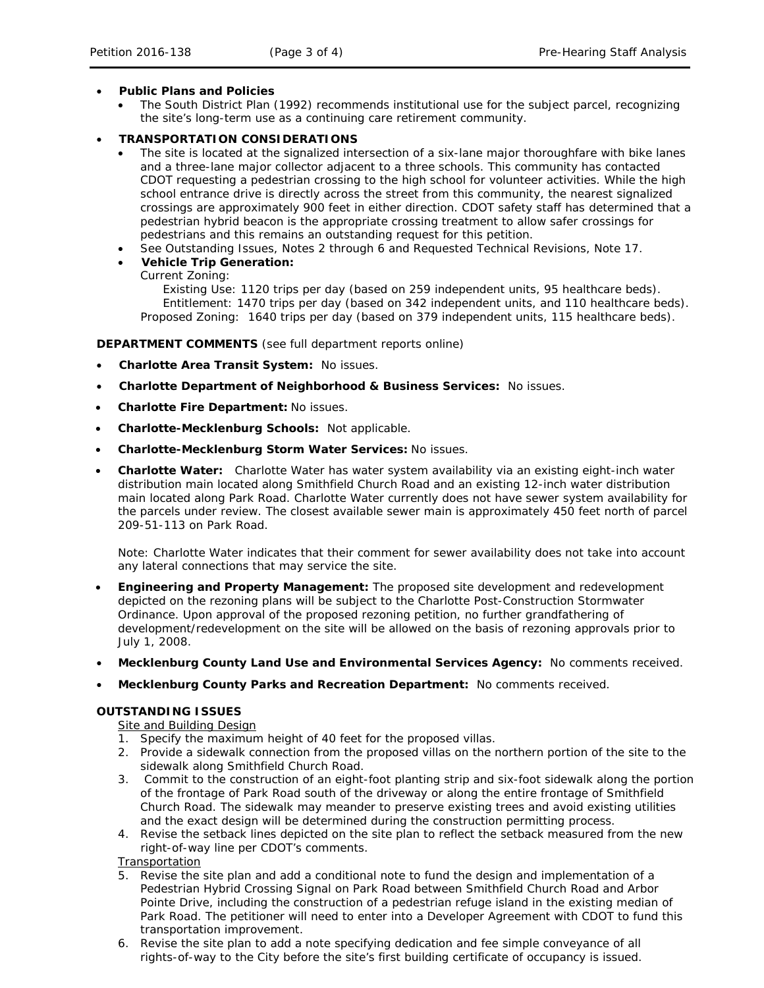### • **Public Plans and Policies**

• The *South District Plan* (1992) recommends institutional use for the subject parcel, recognizing the site's long-term use as a continuing care retirement community.

## • **TRANSPORTATION CONSIDERATIONS**

- The site is located at the signalized intersection of a six-lane major thoroughfare with bike lanes and a three-lane major collector adjacent to a three schools. This community has contacted CDOT requesting a pedestrian crossing to the high school for volunteer activities. While the high school entrance drive is directly across the street from this community, the nearest signalized crossings are approximately 900 feet in either direction. CDOT safety staff has determined that a pedestrian hybrid beacon is the appropriate crossing treatment to allow safer crossings for pedestrians and this remains an outstanding request for this petition.
- See Outstanding Issues, Notes 2 through 6 and Requested Technical Revisions, Note 17.
- **Vehicle Trip Generation:**
	- Current Zoning:

Existing Use: 1120 trips per day (based on 259 independent units, 95 healthcare beds). Entitlement: 1470 trips per day (based on 342 independent units, and 110 healthcare beds). Proposed Zoning: 1640 trips per day (based on 379 independent units, 115 healthcare beds).

#### **DEPARTMENT COMMENTS** (see full department reports online)

- **Charlotte Area Transit System:** No issues.
- **Charlotte Department of Neighborhood & Business Services:** No issues.
- **Charlotte Fire Department:** No issues.
- **Charlotte-Mecklenburg Schools:** Not applicable.
- **Charlotte-Mecklenburg Storm Water Services:** No issues.
- **Charlotte Water:** Charlotte Water has water system availability via an existing eight-inch water distribution main located along Smithfield Church Road and an existing 12-inch water distribution main located along Park Road. Charlotte Water currently does not have sewer system availability for the parcels under review. The closest available sewer main is approximately 450 feet north of parcel 209-51-113 on Park Road.

Note: Charlotte Water indicates that their comment for sewer availability does not take into account any lateral connections that may service the site.

- **Engineering and Property Management:** The proposed site development and redevelopment depicted on the rezoning plans will be subject to the Charlotte Post-Construction Stormwater Ordinance. Upon approval of the proposed rezoning petition, no further grandfathering of development/redevelopment on the site will be allowed on the basis of rezoning approvals prior to July 1, 2008.
- **Mecklenburg County Land Use and Environmental Services Agency:** No comments received.
- **Mecklenburg County Parks and Recreation Department:** No comments received.

#### **OUTSTANDING ISSUES**

Site and Building Design

- 1. Specify the maximum height of 40 feet for the proposed villas.
- 2. Provide a sidewalk connection from the proposed villas on the northern portion of the site to the sidewalk along Smithfield Church Road.
- 3. Commit to the construction of an eight-foot planting strip and six-foot sidewalk along the portion of the frontage of Park Road south of the driveway or along the entire frontage of Smithfield Church Road. The sidewalk may meander to preserve existing trees and avoid existing utilities and the exact design will be determined during the construction permitting process.
- 4. Revise the setback lines depicted on the site plan to reflect the setback measured from the new right-of-way line per CDOT's comments.

#### Transportation

- 5. Revise the site plan and add a conditional note to fund the design and implementation of a Pedestrian Hybrid Crossing Signal on Park Road between Smithfield Church Road and Arbor Pointe Drive, including the construction of a pedestrian refuge island in the existing median of Park Road. The petitioner will need to enter into a Developer Agreement with CDOT to fund this transportation improvement.
- 6. Revise the site plan to add a note specifying dedication and fee simple conveyance of all rights-of-way to the City before the site's first building certificate of occupancy is issued.